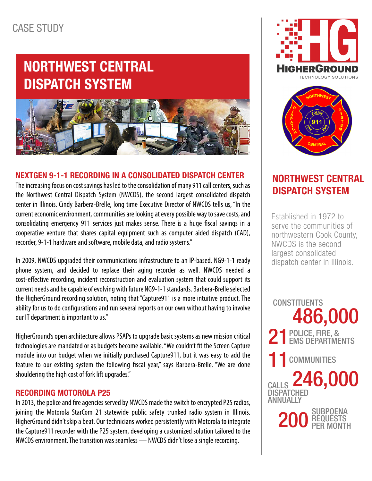# NORTHWEST CENTRAL DISPATCH SYSTEM



#### NEXTGEN 9-1-1 RECORDING IN A CONSOLIDATED DISPATCH CENTER

The increasing focus on cost savings has led to the consolidation of many 911 call centers, such as the Northwest Central Dispatch System (NWCDS), the second largest consolidated dispatch center in Illinois. Cindy Barbera-Brelle, long time Executive Director of NWCDS tells us, "In the current economic environment, communities are looking at every possible way to save costs, and consolidating emergency 911 services just makes sense. There is a huge fiscal savings in a cooperative venture that shares capital equipment such as computer aided dispatch (CAD), recorder, 9-1-1 hardware and software, mobile data, and radio systems."

In 2009, NWCDS upgraded their communications infrastructure to an IP-based, NG9-1-1 ready phone system, and decided to replace their aging recorder as well. NWCDS needed a cost-effective recording, incident reconstruction and evaluation system that could support its current needs and be capable of evolving with future NG9-1-1 standards. Barbera-Brelle selected the HigherGround recording solution, noting that "Capture911 is a more intuitive product. The ability for us to do configurations and run several reports on our own without having to involve our IT department is important to us."

HigherGround's open architecture allows PSAPs to upgrade basic systems as new mission critical technologies are mandated or as budgets become available. "We couldn't fit the Screen Capture module into our budget when we initially purchased Capture911, but it was easy to add the feature to our existing system the following fiscal year," says Barbera-Brelle. "We are done shouldering the high cost of fork lift upgrades."

#### RECORDING MOTOROLA P25

In 2013, the police and fire agencies served by NWCDS made the switch to encrypted P25 radios, joining the Motorola StarCom 21 statewide public safety trunked radio system in Illinois. HigherGround didn't skip a beat. Our technicians worked persistently with Motorola to integrate the Capture911 recorder with the P25 system, developing a customized solution tailored to the NWCDS environment. The transition was seamless — NWCDS didn't lose a single recording.





### NORTHWEST CENTRAL DISPATCH SYSTEM

Established in 1972 to serve the communities of northwestern Cook County, NWCDS is the second largest consolidated dispatch center in Illinois.

486,000 CONSTITUENTS 21 POLICE, FIRE, & **200** SUBPOENA **REQUESTS** PER MONTH 11 COMMUNITIES CALLS 246,000 **DISPATCHED ANNIJAI IY**